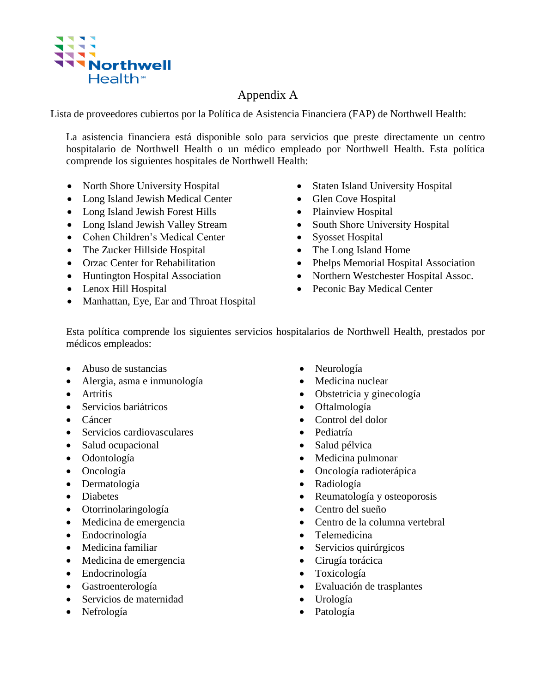

## Appendix A

Lista de proveedores cubiertos por la Política de Asistencia Financiera (FAP) de Northwell Health:

La asistencia financiera está disponible solo para servicios que preste directamente un centro hospitalario de Northwell Health o un médico empleado por Northwell Health. Esta política comprende los siguientes hospitales de Northwell Health:

- North Shore University Hospital
- Long Island Jewish Medical Center
- Long Island Jewish Forest Hills
- Long Island Jewish Valley Stream
- Cohen Children's Medical Center
- The Zucker Hillside Hospital
- Orzac Center for Rehabilitation
- Huntington Hospital Association
- Lenox Hill Hospital
- Manhattan, Eye, Ear and Throat Hospital
- Staten Island University Hospital
- Glen Cove Hospital
- Plainview Hospital
- South Shore University Hospital
- Syosset Hospital
- The Long Island Home
- Phelps Memorial Hospital Association
- Northern Westchester Hospital Assoc.
- Peconic Bay Medical Center

Esta política comprende los siguientes servicios hospitalarios de Northwell Health, prestados por médicos empleados:

- Abuso de sustancias
- Alergia, asma e inmunología
- Artritis
- Servicios bariátricos
- Cáncer
- Servicios cardiovasculares
- Salud ocupacional
- Odontología
- Oncología
- Dermatología
- Diabetes
- Otorrinolaringología
- Medicina de emergencia
- Endocrinología
- Medicina familiar
- Medicina de emergencia
- Endocrinología
- Gastroenterología
- Servicios de maternidad
- Nefrología
- Neurología
- Medicina nuclear
- Obstetricia y ginecología
- Oftalmología
- Control del dolor
- Pediatría
- Salud pélvica
- Medicina pulmonar
- Oncología radioterápica
- Radiología
- Reumatología y osteoporosis
- Centro del sueño
- Centro de la columna vertebral
- Telemedicina
- Servicios quirúrgicos
- Cirugía torácica
- Toxicología
- Evaluación de trasplantes
- Urología
- Patología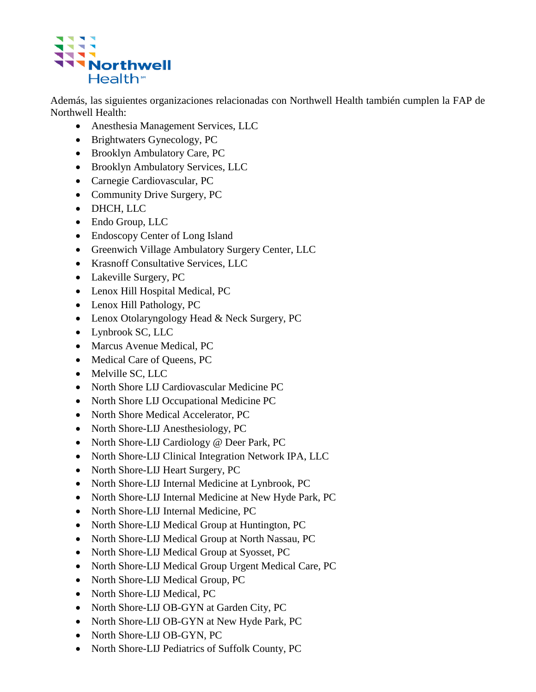

Además, las siguientes organizaciones relacionadas con Northwell Health también cumplen la FAP de Northwell Health:

- Anesthesia Management Services, LLC
- Brightwaters Gynecology, PC
- Brooklyn Ambulatory Care, PC
- Brooklyn Ambulatory Services, LLC
- Carnegie Cardiovascular, PC
- Community Drive Surgery, PC
- DHCH, LLC
- Endo Group, LLC
- Endoscopy Center of Long Island
- Greenwich Village Ambulatory Surgery Center, LLC
- Krasnoff Consultative Services, LLC
- Lakeville Surgery, PC
- Lenox Hill Hospital Medical, PC
- Lenox Hill Pathology, PC
- Lenox Otolaryngology Head & Neck Surgery, PC
- Lynbrook SC, LLC
- Marcus Avenue Medical, PC
- Medical Care of Queens, PC
- Melville SC, LLC
- North Shore LIJ Cardiovascular Medicine PC
- North Shore LIJ Occupational Medicine PC
- North Shore Medical Accelerator, PC
- North Shore-LIJ Anesthesiology, PC
- North Shore-LIJ Cardiology @ Deer Park, PC
- North Shore-LIJ Clinical Integration Network IPA, LLC
- North Shore-LIJ Heart Surgery, PC
- North Shore-LIJ Internal Medicine at Lynbrook, PC
- North Shore-LIJ Internal Medicine at New Hyde Park, PC
- North Shore-LIJ Internal Medicine, PC
- North Shore-LIJ Medical Group at Huntington, PC
- North Shore-LIJ Medical Group at North Nassau, PC
- North Shore-LIJ Medical Group at Syosset, PC
- North Shore-LIJ Medical Group Urgent Medical Care, PC
- North Shore-LIJ Medical Group, PC
- North Shore-LIJ Medical, PC
- North Shore-LIJ OB-GYN at Garden City, PC
- North Shore-LIJ OB-GYN at New Hyde Park, PC
- North Shore-LIJ OB-GYN, PC
- North Shore-LIJ Pediatrics of Suffolk County, PC